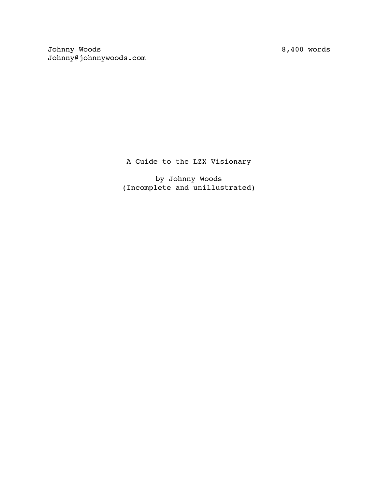8,400 words

Johnny Woods Johnny@johnnywoods.com

A Guide to the LZX Visionary

by Johnny Woods (Incomplete and unillustrated)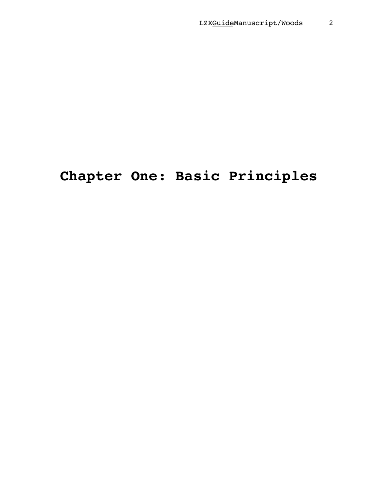# **Chapter One: Basic Principles**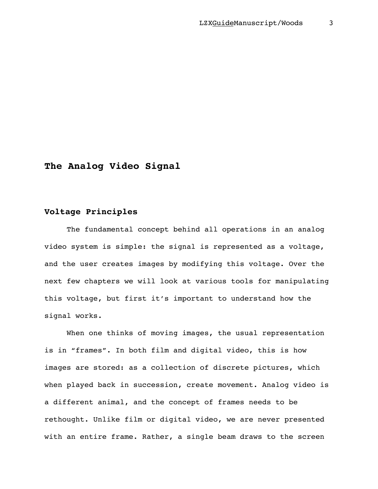# **The Analog Video Signal**

## **Voltage Principles**

The fundamental concept behind all operations in an analog video system is simple: the signal is represented as a voltage, and the user creates images by modifying this voltage. Over the next few chapters we will look at various tools for manipulating this voltage, but first it's important to understand how the signal works.

When one thinks of moving images, the usual representation is in "frames". In both film and digital video, this is how images are stored: as a collection of discrete pictures, which when played back in succession, create movement. Analog video is a different animal, and the concept of frames needs to be rethought. Unlike film or digital video, we are never presented with an entire frame. Rather, a single beam draws to the screen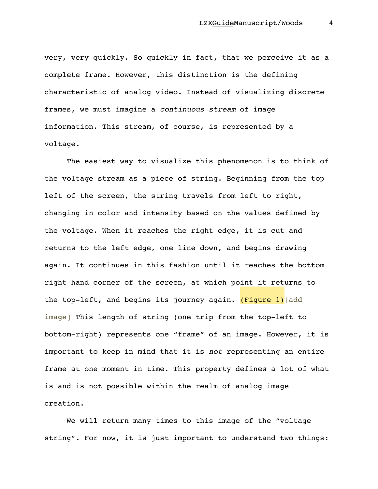very, very quickly. So quickly in fact, that we perceive it as a complete frame. However, this distinction is the defining characteristic of analog video. Instead of visualizing discrete frames, we must imagine a *continuous stream* of image information. This stream, of course, is represented by a voltage.

The easiest way to visualize this phenomenon is to think of the voltage stream as a piece of string. Beginning from the top left of the screen, the string travels from left to right, changing in color and intensity based on the values defined by the voltage. When it reaches the right edge, it is cut and returns to the left edge, one line down, and begins drawing again. It continues in this fashion until it reaches the bottom right hand corner of the screen, at which point it returns to the top-left, and begins its journey again. (Figure 1) [add image] This length of string (one trip from the top-left to bottom-right) represents one "frame" of an image. However, it is important to keep in mind that it is *not* representing an entire frame at one moment in time. This property defines a lot of what is and is not possible within the realm of analog image creation.

We will return many times to this image of the "voltage string". For now, it is just important to understand two things: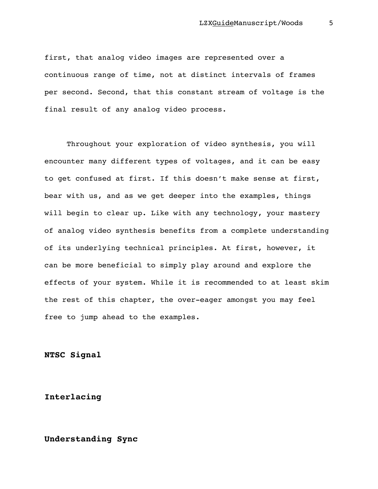first, that analog video images are represented over a continuous range of time, not at distinct intervals of frames per second. Second, that this constant stream of voltage is the final result of any analog video process.

Throughout your exploration of video synthesis, you will encounter many different types of voltages, and it can be easy to get confused at first. If this doesn't make sense at first, bear with us, and as we get deeper into the examples, things will begin to clear up. Like with any technology, your mastery of analog video synthesis benefits from a complete understanding of its underlying technical principles. At first, however, it can be more beneficial to simply play around and explore the effects of your system. While it is recommended to at least skim the rest of this chapter, the over-eager amongst you may feel free to jump ahead to the examples.

**NTSC Signal**

**Interlacing**

**Understanding Sync**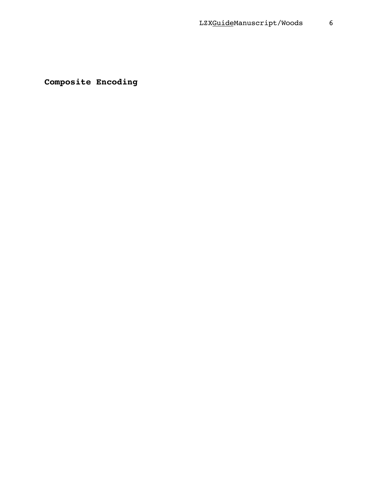**Composite Encoding**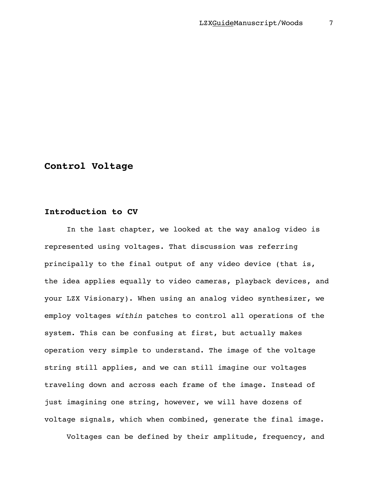# **Control Voltage**

# **Introduction to CV**

In the last chapter, we looked at the way analog video is represented using voltages. That discussion was referring principally to the final output of any video device (that is, the idea applies equally to video cameras, playback devices, and your LZX Visionary). When using an analog video synthesizer, we employ voltages *within* patches to control all operations of the system. This can be confusing at first, but actually makes operation very simple to understand. The image of the voltage string still applies, and we can still imagine our voltages traveling down and across each frame of the image. Instead of just imagining one string, however, we will have dozens of voltage signals, which when combined, generate the final image.

Voltages can be defined by their amplitude, frequency, and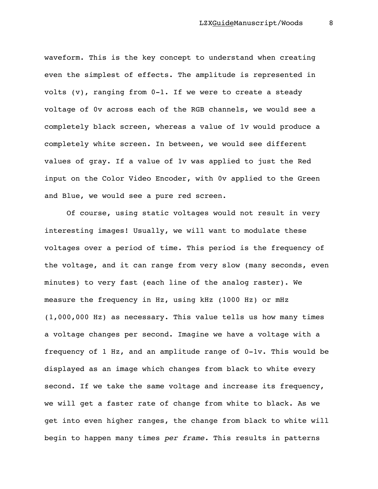waveform. This is the key concept to understand when creating even the simplest of effects. The amplitude is represented in volts (v), ranging from 0-1. If we were to create a steady voltage of 0v across each of the RGB channels, we would see a completely black screen, whereas a value of 1v would produce a completely white screen. In between, we would see different values of gray. If a value of 1v was applied to just the Red input on the Color Video Encoder, with 0v applied to the Green and Blue, we would see a pure red screen.

Of course, using static voltages would not result in very interesting images! Usually, we will want to modulate these voltages over a period of time. This period is the frequency of the voltage, and it can range from very slow (many seconds, even minutes) to very fast (each line of the analog raster). We measure the frequency in Hz, using kHz (1000 Hz) or mHz (1,000,000 Hz) as necessary. This value tells us how many times a voltage changes per second. Imagine we have a voltage with a frequency of 1 Hz, and an amplitude range of 0-1v. This would be displayed as an image which changes from black to white every second. If we take the same voltage and increase its frequency, we will get a faster rate of change from white to black. As we get into even higher ranges, the change from black to white will begin to happen many times *per frame.* This results in patterns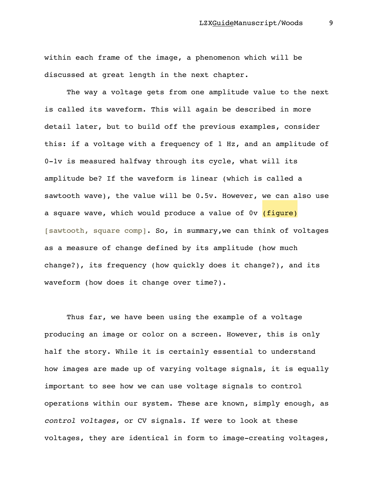within each frame of the image, a phenomenon which will be discussed at great length in the next chapter.

The way a voltage gets from one amplitude value to the next is called its waveform. This will again be described in more detail later, but to build off the previous examples, consider this: if a voltage with a frequency of 1 Hz, and an amplitude of 0-1v is measured halfway through its cycle, what will its amplitude be? If the waveform is linear (which is called a sawtooth wave), the value will be 0.5v. However, we can also use a square wave, which would produce a value of 0v (fiqure) [sawtooth, square comp]. So, in summary, we can think of voltages as a measure of change defined by its amplitude (how much change?), its frequency (how quickly does it change?), and its waveform (how does it change over time?).

Thus far, we have been using the example of a voltage producing an image or color on a screen. However, this is only half the story. While it is certainly essential to understand how images are made up of varying voltage signals, it is equally important to see how we can use voltage signals to control operations within our system. These are known, simply enough, as *control voltages*, or CV signals. If were to look at these voltages, they are identical in form to image-creating voltages,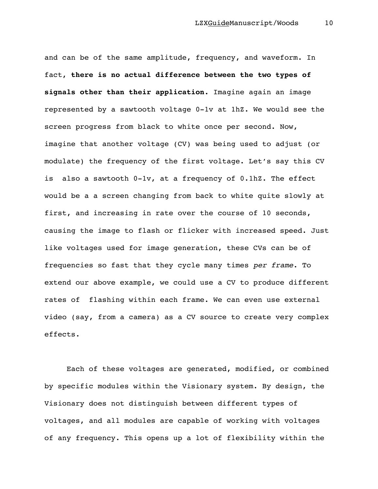and can be of the same amplitude, frequency, and waveform. In fact, **there is no actual difference between the two types of signals other than their application.** Imagine again an image represented by a sawtooth voltage 0-1v at 1hZ. We would see the screen progress from black to white once per second. Now, imagine that another voltage (CV) was being used to adjust (or modulate) the frequency of the first voltage. Let's say this CV is also a sawtooth 0-1v, at a frequency of 0.1hZ. The effect would be a a screen changing from back to white quite slowly at first, and increasing in rate over the course of 10 seconds, causing the image to flash or flicker with increased speed. Just like voltages used for image generation, these CVs can be of frequencies so fast that they cycle many times *per frame*. To extend our above example, we could use a CV to produce different rates of flashing within each frame. We can even use external video (say, from a camera) as a CV source to create very complex effects.

Each of these voltages are generated, modified, or combined by specific modules within the Visionary system. By design, the Visionary does not distinguish between different types of voltages, and all modules are capable of working with voltages of any frequency. This opens up a lot of flexibility within the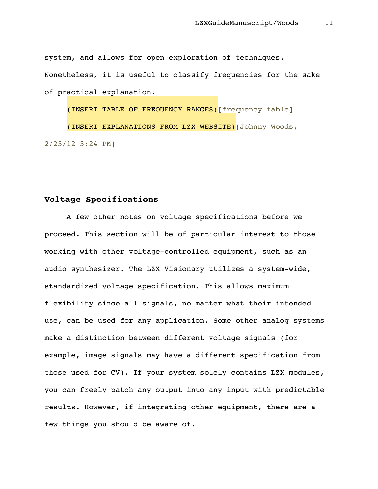system, and allows for open exploration of techniques. Nonetheless, it is useful to classify frequencies for the sake of practical explanation.

(INSERT TABLE OF FREQUENCY RANGES)[frequency table]

(INSERT EXPLANATIONS FROM LZX WEBSITE)[Johnny Woods, 2/25/12 5:24 PM]

## **Voltage Specifications**

A few other notes on voltage specifications before we proceed. This section will be of particular interest to those working with other voltage-controlled equipment, such as an audio synthesizer. The LZX Visionary utilizes a system-wide, standardized voltage specification. This allows maximum flexibility since all signals, no matter what their intended use, can be used for any application. Some other analog systems make a distinction between different voltage signals (for example, image signals may have a different specification from those used for CV). If your system solely contains LZX modules, you can freely patch any output into any input with predictable results. However, if integrating other equipment, there are a few things you should be aware of.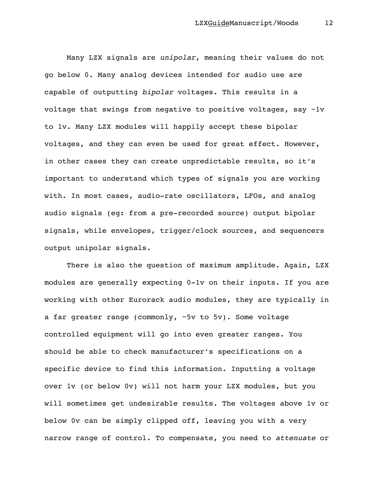Many LZX signals are *unipolar*, meaning their values do not go below 0. Many analog devices intended for audio use are capable of outputting *bipolar* voltages. This results in a voltage that swings from negative to positive voltages, say −1v to 1v. Many LZX modules will happily accept these bipolar voltages, and they can even be used for great effect. However, in other cases they can create unpredictable results, so it's important to understand which types of signals you are working with. In most cases, audio-rate oscillators, LFOs, and analog audio signals (eg: from a pre-recorded source) output bipolar signals, while envelopes, trigger/clock sources, and sequencers output unipolar signals.

There is also the question of maximum amplitude. Again, LZX modules are generally expecting 0-1v on their inputs. If you are working with other Eurorack audio modules, they are typically in a far greater range (commonly, −5v to 5v). Some voltage controlled equipment will go into even greater ranges. You should be able to check manufacturer's specifications on a specific device to find this information. Inputting a voltage over 1v (or below 0v) will not harm your LZX modules, but you will sometimes get undesirable results. The voltages above 1v or below 0v can be simply clipped off, leaving you with a very narrow range of control. To compensate, you need to *attenuate* or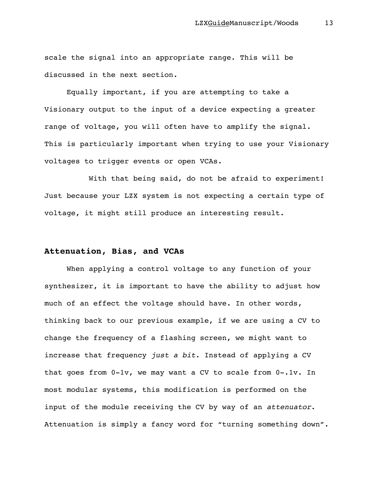scale the signal into an appropriate range. This will be discussed in the next section.

Equally important, if you are attempting to take a Visionary output to the input of a device expecting a greater range of voltage, you will often have to amplify the signal. This is particularly important when trying to use your Visionary voltages to trigger events or open VCAs.

With that being said, do not be afraid to experiment! Just because your LZX system is not expecting a certain type of voltage, it might still produce an interesting result.

## **Attenuation, Bias, and VCAs**

When applying a control voltage to any function of your synthesizer, it is important to have the ability to adjust how much of an effect the voltage should have. In other words, thinking back to our previous example, if we are using a CV to change the frequency of a flashing screen, we might want to increase that frequency *just a bit*. Instead of applying a CV that goes from 0-1v, we may want a CV to scale from 0-.1v. In most modular systems, this modification is performed on the input of the module receiving the CV by way of an *attenuator*. Attenuation is simply a fancy word for "turning something down".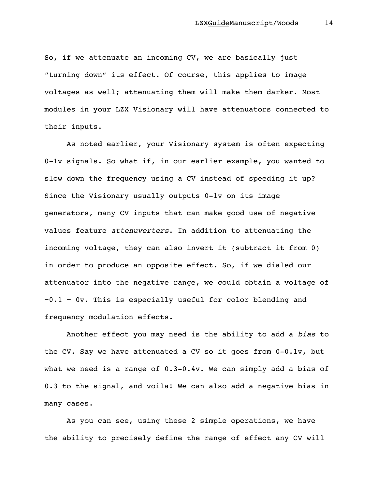So, if we attenuate an incoming CV, we are basically just "turning down" its effect. Of course, this applies to image voltages as well; attenuating them will make them darker. Most modules in your LZX Visionary will have attenuators connected to their inputs.

As noted earlier, your Visionary system is often expecting 0-1v signals. So what if, in our earlier example, you wanted to slow down the frequency using a CV instead of speeding it up? Since the Visionary usually outputs 0-1v on its image generators, many CV inputs that can make good use of negative values feature *attenuverters*. In addition to attenuating the incoming voltage, they can also invert it (subtract it from 0) in order to produce an opposite effect. So, if we dialed our attenuator into the negative range, we could obtain a voltage of −0.1 − 0v. This is especially useful for color blending and frequency modulation effects.

Another effect you may need is the ability to add a *bias* to the CV. Say we have attenuated a CV so it goes from 0-0.1v, but what we need is a range of  $0.3-0.4v$ . We can simply add a bias of 0.3 to the signal, and voila! We can also add a negative bias in many cases.

As you can see, using these 2 simple operations, we have the ability to precisely define the range of effect any CV will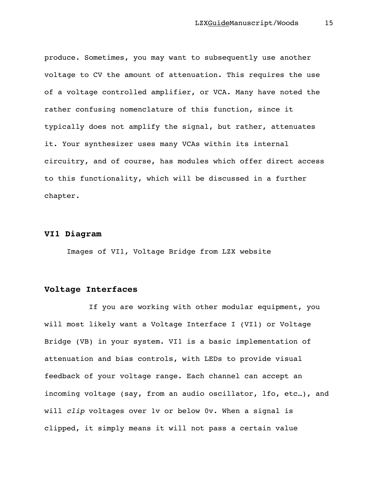produce. Sometimes, you may want to subsequently use another voltage to CV the amount of attenuation. This requires the use of a voltage controlled amplifier, or VCA. Many have noted the rather confusing nomenclature of this function, since it typically does not amplify the signal, but rather, attenuates it. Your synthesizer uses many VCAs within its internal circuitry, and of course, has modules which offer direct access to this functionality, which will be discussed in a further chapter.

## **VI1 Diagram**

Images of VI1, Voltage Bridge from LZX website

## **Voltage Interfaces**

If you are working with other modular equipment, you will most likely want a Voltage Interface I (VI1) or Voltage Bridge (VB) in your system. VI1 is a basic implementation of attenuation and bias controls, with LEDs to provide visual feedback of your voltage range. Each channel can accept an incoming voltage (say, from an audio oscillator, lfo, etc…), and will *clip* voltages over 1v or below 0v. When a signal is clipped, it simply means it will not pass a certain value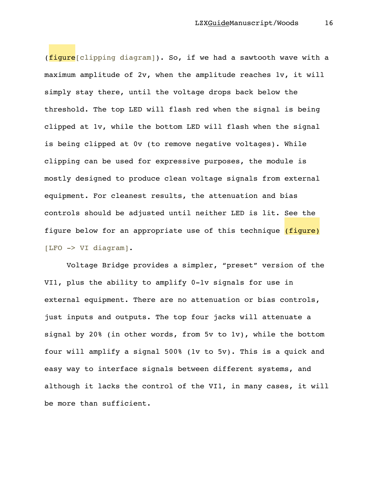(fiqure[clipping diagram]). So, if we had a sawtooth wave with a maximum amplitude of 2v, when the amplitude reaches 1v, it will simply stay there, until the voltage drops back below the threshold. The top LED will flash red when the signal is being clipped at 1v, while the bottom LED will flash when the signal is being clipped at 0v (to remove negative voltages). While clipping can be used for expressive purposes, the module is mostly designed to produce clean voltage signals from external equipment. For cleanest results, the attenuation and bias controls should be adjusted until neither LED is lit. See the figure below for an appropriate use of this technique (figure) [LFO -> VI diagram].

Voltage Bridge provides a simpler, "preset" version of the VI1, plus the ability to amplify 0-1v signals for use in external equipment. There are no attenuation or bias controls, just inputs and outputs. The top four jacks will attenuate a signal by 20% (in other words, from 5v to 1v), while the bottom four will amplify a signal 500% (1v to 5v). This is a quick and easy way to interface signals between different systems, and although it lacks the control of the VI1, in many cases, it will be more than sufficient.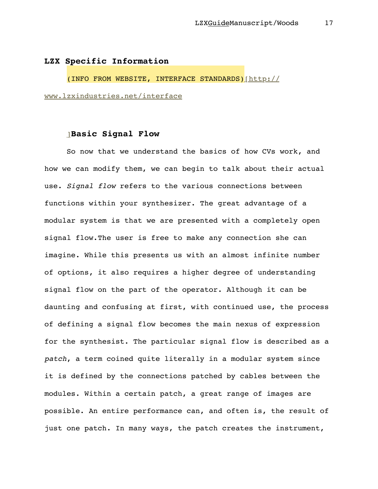#### **LZX Specific Information**

(INFO FROM WEBSITE, INTERFACE STANDARDS)[http://

www.lzxindustries.net/interface

## ]**Basic Signal Flow**

So now that we understand the basics of how CVs work, and how we can modify them, we can begin to talk about their actual use. *Signal flow* refers to the various connections between functions within your synthesizer. The great advantage of a modular system is that we are presented with a completely open signal flow.The user is free to make any connection she can imagine. While this presents us with an almost infinite number of options, it also requires a higher degree of understanding signal flow on the part of the operator. Although it can be daunting and confusing at first, with continued use, the process of defining a signal flow becomes the main nexus of expression for the synthesist. The particular signal flow is described as a *patch*, a term coined quite literally in a modular system since it is defined by the connections patched by cables between the modules. Within a certain patch, a great range of images are possible. An entire performance can, and often is, the result of just one patch. In many ways, the patch creates the instrument,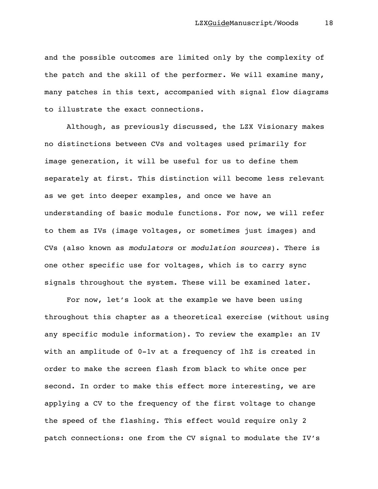and the possible outcomes are limited only by the complexity of the patch and the skill of the performer. We will examine many, many patches in this text, accompanied with signal flow diagrams to illustrate the exact connections.

Although, as previously discussed, the LZX Visionary makes no distinctions between CVs and voltages used primarily for image generation, it will be useful for us to define them separately at first. This distinction will become less relevant as we get into deeper examples, and once we have an understanding of basic module functions. For now, we will refer to them as IVs (image voltages, or sometimes just images) and CVs (also known as *modulators* or *modulation sources*). There is one other specific use for voltages, which is to carry sync signals throughout the system. These will be examined later.

For now, let's look at the example we have been using throughout this chapter as a theoretical exercise (without using any specific module information). To review the example: an IV with an amplitude of 0-1v at a frequency of 1hZ is created in order to make the screen flash from black to white once per second. In order to make this effect more interesting, we are applying a CV to the frequency of the first voltage to change the speed of the flashing. This effect would require only 2 patch connections: one from the CV signal to modulate the IV's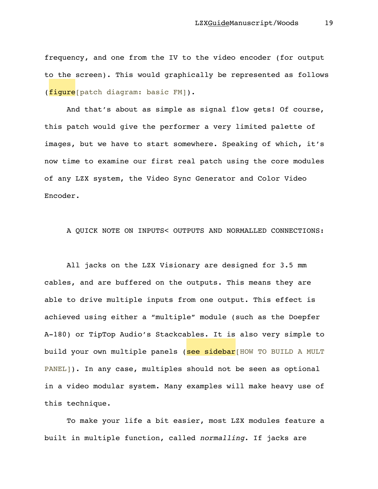frequency, and one from the IV to the video encoder (for output to the screen). This would graphically be represented as follows (figure[patch diagram: basic FM]).

And that's about as simple as signal flow gets! Of course, this patch would give the performer a very limited palette of images, but we have to start somewhere. Speaking of which, it's now time to examine our first real patch using the core modules of any LZX system, the Video Sync Generator and Color Video Encoder.

A QUICK NOTE ON INPUTS< OUTPUTS AND NORMALLED CONNECTIONS:

All jacks on the LZX Visionary are designed for 3.5 mm cables, and are buffered on the outputs. This means they are able to drive multiple inputs from one output. This effect is achieved using either a "multiple" module (such as the Doepfer A-180) or TipTop Audio's Stackcables. It is also very simple to build your own multiple panels (see sidebar HOW TO BUILD A MULT PANEL]). In any case, multiples should not be seen as optional in a video modular system. Many examples will make heavy use of this technique.

To make your life a bit easier, most LZX modules feature a built in multiple function, called *normalling*. If jacks are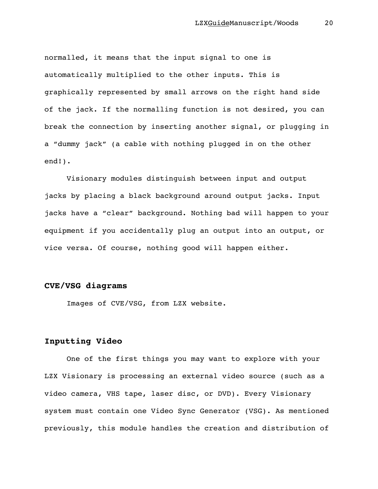normalled, it means that the input signal to one is automatically multiplied to the other inputs. This is graphically represented by small arrows on the right hand side of the jack. If the normalling function is not desired, you can break the connection by inserting another signal, or plugging in a "dummy jack" (a cable with nothing plugged in on the other end!).

Visionary modules distinguish between input and output jacks by placing a black background around output jacks. Input jacks have a "clear" background. Nothing bad will happen to your equipment if you accidentally plug an output into an output, or vice versa. Of course, nothing good will happen either.

#### **CVE/VSG diagrams**

Images of CVE/VSG, from LZX website.

## **Inputting Video**

One of the first things you may want to explore with your LZX Visionary is processing an external video source (such as a video camera, VHS tape, laser disc, or DVD). Every Visionary system must contain one Video Sync Generator (VSG). As mentioned previously, this module handles the creation and distribution of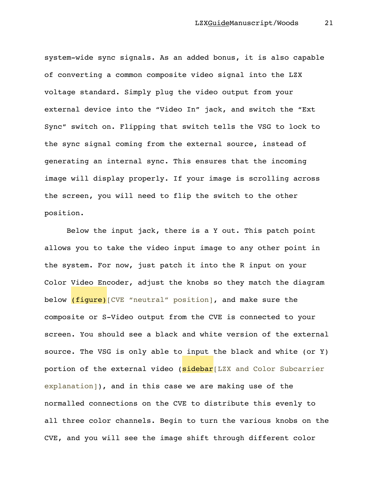system-wide sync signals. As an added bonus, it is also capable of converting a common composite video signal into the LZX voltage standard. Simply plug the video output from your external device into the "Video In" jack, and switch the "Ext Sync" switch on. Flipping that switch tells the VSG to lock to the sync signal coming from the external source, instead of generating an internal sync. This ensures that the incoming image will display properly. If your image is scrolling across the screen, you will need to flip the switch to the other position.

Below the input jack, there is a Y out. This patch point allows you to take the video input image to any other point in the system. For now, just patch it into the R input on your Color Video Encoder, adjust the knobs so they match the diagram below (figure) [CVE "neutral" position], and make sure the composite or S-Video output from the CVE is connected to your screen. You should see a black and white version of the external source. The VSG is only able to input the black and white (or Y) portion of the external video (sidebar[LZX and Color Subcarrier explanation]), and in this case we are making use of the normalled connections on the CVE to distribute this evenly to all three color channels. Begin to turn the various knobs on the CVE, and you will see the image shift through different color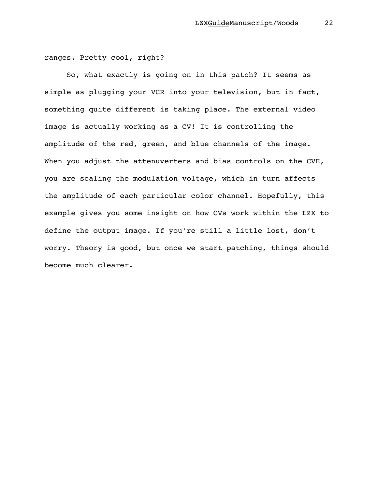#### ranges. Pretty cool, right?

So, what exactly is going on in this patch? It seems as simple as plugging your VCR into your television, but in fact, something quite different is taking place. The external video image is actually working as a CV! It is controlling the amplitude of the red, green, and blue channels of the image. When you adjust the attenuverters and bias controls on the CVE, you are scaling the modulation voltage, which in turn affects the amplitude of each particular color channel. Hopefully, this example gives you some insight on how CVs work within the LZX to define the output image. If you're still a little lost, don't worry. Theory is good, but once we start patching, things should become much clearer.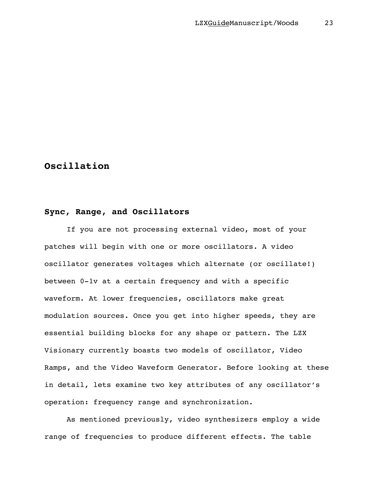# **Oscillation**

## **Sync, Range, and Oscillators**

If you are not processing external video, most of your patches will begin with one or more oscillators. A video oscillator generates voltages which alternate (or oscillate!) between 0-1v at a certain frequency and with a specific waveform. At lower frequencies, oscillators make great modulation sources. Once you get into higher speeds, they are essential building blocks for any shape or pattern. The LZX Visionary currently boasts two models of oscillator, Video Ramps, and the Video Waveform Generator. Before looking at these in detail, lets examine two key attributes of any oscillator's operation: frequency range and synchronization.

As mentioned previously, video synthesizers employ a wide range of frequencies to produce different effects. The table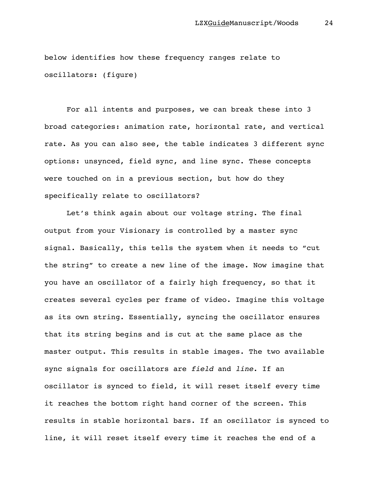below identifies how these frequency ranges relate to oscillators: (figure)

For all intents and purposes, we can break these into 3 broad categories: animation rate, horizontal rate, and vertical rate. As you can also see, the table indicates 3 different sync options: unsynced, field sync, and line sync. These concepts were touched on in a previous section, but how do they specifically relate to oscillators?

Let's think again about our voltage string. The final output from your Visionary is controlled by a master sync signal. Basically, this tells the system when it needs to "cut the string" to create a new line of the image. Now imagine that you have an oscillator of a fairly high frequency, so that it creates several cycles per frame of video. Imagine this voltage as its own string. Essentially, syncing the oscillator ensures that its string begins and is cut at the same place as the master output. This results in stable images. The two available sync signals for oscillators are *field* and *line*. If an oscillator is synced to field, it will reset itself every time it reaches the bottom right hand corner of the screen. This results in stable horizontal bars. If an oscillator is synced to line, it will reset itself every time it reaches the end of a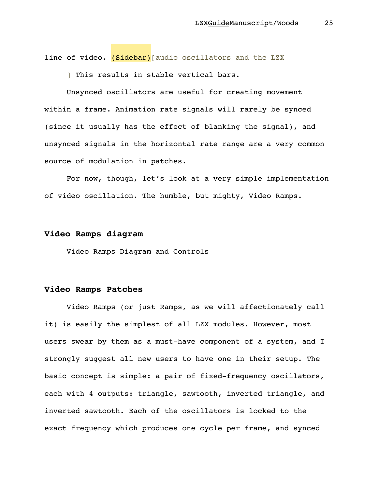line of video. (Sidebar) [audio oscillators and the LZX

] This results in stable vertical bars.

Unsynced oscillators are useful for creating movement within a frame. Animation rate signals will rarely be synced (since it usually has the effect of blanking the signal), and unsynced signals in the horizontal rate range are a very common source of modulation in patches.

For now, though, let's look at a very simple implementation of video oscillation. The humble, but mighty, Video Ramps.

## **Video Ramps diagram**

Video Ramps Diagram and Controls

## **Video Ramps Patches**

Video Ramps (or just Ramps, as we will affectionately call it) is easily the simplest of all LZX modules. However, most users swear by them as a must-have component of a system, and I strongly suggest all new users to have one in their setup. The basic concept is simple: a pair of fixed-frequency oscillators, each with 4 outputs: triangle, sawtooth, inverted triangle, and inverted sawtooth. Each of the oscillators is locked to the exact frequency which produces one cycle per frame, and synced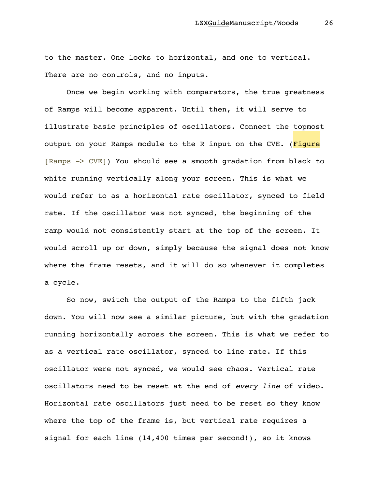to the master. One locks to horizontal, and one to vertical. There are no controls, and no inputs.

Once we begin working with comparators, the true greatness of Ramps will become apparent. Until then, it will serve to illustrate basic principles of oscillators. Connect the topmost output on your Ramps module to the R input on the CVE. (Figure [Ramps -> CVE]) You should see a smooth gradation from black to white running vertically along your screen. This is what we would refer to as a horizontal rate oscillator, synced to field rate. If the oscillator was not synced, the beginning of the ramp would not consistently start at the top of the screen. It would scroll up or down, simply because the signal does not know where the frame resets, and it will do so whenever it completes a cycle.

So now, switch the output of the Ramps to the fifth jack down. You will now see a similar picture, but with the gradation running horizontally across the screen. This is what we refer to as a vertical rate oscillator, synced to line rate. If this oscillator were not synced, we would see chaos. Vertical rate oscillators need to be reset at the end of *every line* of video. Horizontal rate oscillators just need to be reset so they know where the top of the frame is, but vertical rate requires a signal for each line (14,400 times per second!), so it knows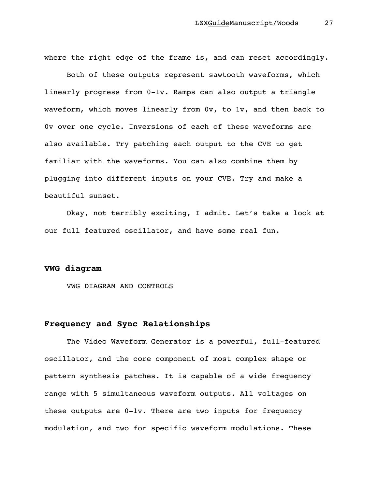where the right edge of the frame is, and can reset accordingly.

Both of these outputs represent sawtooth waveforms, which linearly progress from 0-1v. Ramps can also output a triangle waveform, which moves linearly from 0v, to 1v, and then back to 0v over one cycle. Inversions of each of these waveforms are also available. Try patching each output to the CVE to get familiar with the waveforms. You can also combine them by plugging into different inputs on your CVE. Try and make a beautiful sunset.

Okay, not terribly exciting, I admit. Let's take a look at our full featured oscillator, and have some real fun.

## **VWG diagram**

VWG DIAGRAM AND CONTROLS

## **Frequency and Sync Relationships**

The Video Waveform Generator is a powerful, full-featured oscillator, and the core component of most complex shape or pattern synthesis patches. It is capable of a wide frequency range with 5 simultaneous waveform outputs. All voltages on these outputs are 0-1v. There are two inputs for frequency modulation, and two for specific waveform modulations. These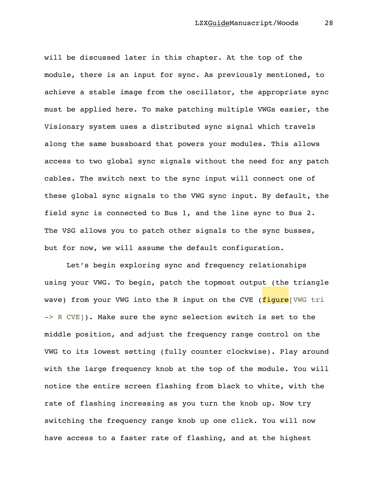will be discussed later in this chapter. At the top of the module, there is an input for sync. As previously mentioned, to achieve a stable image from the oscillator, the appropriate sync must be applied here. To make patching multiple VWGs easier, the Visionary system uses a distributed sync signal which travels along the same bussboard that powers your modules. This allows access to two global sync signals without the need for any patch cables. The switch next to the sync input will connect one of these global sync signals to the VWG sync input. By default, the field sync is connected to Bus 1, and the line sync to Bus 2. The VSG allows you to patch other signals to the sync busses, but for now, we will assume the default configuration.

Let's begin exploring sync and frequency relationships using your VWG. To begin, patch the topmost output (the triangle wave) from your VWG into the R input on the CVE (figure<sup>[VWG</sup> tri -> R CVE]). Make sure the sync selection switch is set to the middle position, and adjust the frequency range control on the VWG to its lowest setting (fully counter clockwise). Play around with the large frequency knob at the top of the module. You will notice the entire screen flashing from black to white, with the rate of flashing increasing as you turn the knob up. Now try switching the frequency range knob up one click. You will now have access to a faster rate of flashing, and at the highest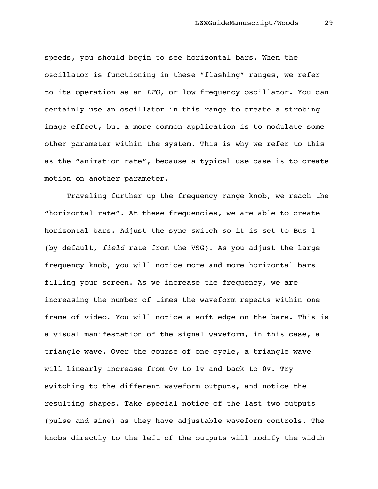speeds, you should begin to see horizontal bars. When the oscillator is functioning in these "flashing" ranges, we refer to its operation as an *LFO*, or low frequency oscillator. You can certainly use an oscillator in this range to create a strobing image effect, but a more common application is to modulate some other parameter within the system. This is why we refer to this as the "animation rate", because a typical use case is to create motion on another parameter.

Traveling further up the frequency range knob, we reach the "horizontal rate". At these frequencies, we are able to create horizontal bars. Adjust the sync switch so it is set to Bus 1 (by default, *field* rate from the VSG). As you adjust the large frequency knob, you will notice more and more horizontal bars filling your screen. As we increase the frequency, we are increasing the number of times the waveform repeats within one frame of video. You will notice a soft edge on the bars. This is a visual manifestation of the signal waveform, in this case, a triangle wave. Over the course of one cycle, a triangle wave will linearly increase from 0v to 1v and back to 0v. Try switching to the different waveform outputs, and notice the resulting shapes. Take special notice of the last two outputs (pulse and sine) as they have adjustable waveform controls. The knobs directly to the left of the outputs will modify the width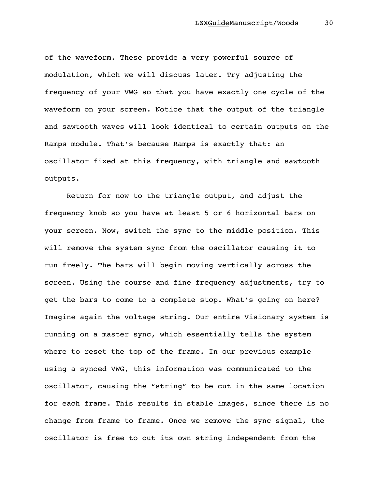of the waveform. These provide a very powerful source of modulation, which we will discuss later. Try adjusting the frequency of your VWG so that you have exactly one cycle of the waveform on your screen. Notice that the output of the triangle and sawtooth waves will look identical to certain outputs on the Ramps module. That's because Ramps is exactly that: an oscillator fixed at this frequency, with triangle and sawtooth outputs.

Return for now to the triangle output, and adjust the frequency knob so you have at least 5 or 6 horizontal bars on your screen. Now, switch the sync to the middle position. This will remove the system sync from the oscillator causing it to run freely. The bars will begin moving vertically across the screen. Using the course and fine frequency adjustments, try to get the bars to come to a complete stop. What's going on here? Imagine again the voltage string. Our entire Visionary system is running on a master sync, which essentially tells the system where to reset the top of the frame. In our previous example using a synced VWG, this information was communicated to the oscillator, causing the "string" to be cut in the same location for each frame. This results in stable images, since there is no change from frame to frame. Once we remove the sync signal, the oscillator is free to cut its own string independent from the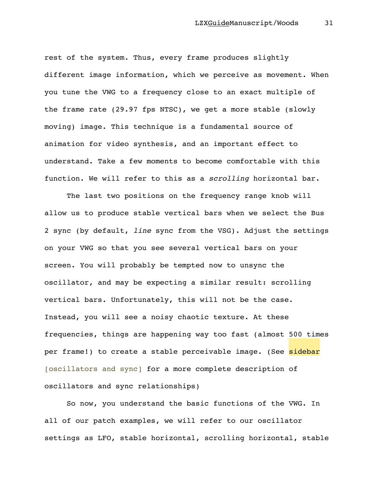rest of the system. Thus, every frame produces slightly different image information, which we perceive as movement. When you tune the VWG to a frequency close to an exact multiple of the frame rate (29.97 fps NTSC), we get a more stable (slowly moving) image. This technique is a fundamental source of animation for video synthesis, and an important effect to understand. Take a few moments to become comfortable with this function. We will refer to this as a *scrolling* horizontal bar.

The last two positions on the frequency range knob will allow us to produce stable vertical bars when we select the Bus 2 sync (by default, *line* sync from the VSG). Adjust the settings on your VWG so that you see several vertical bars on your screen. You will probably be tempted now to unsync the oscillator, and may be expecting a similar result: scrolling vertical bars. Unfortunately, this will not be the case. Instead, you will see a noisy chaotic texture. At these frequencies, things are happening way too fast (almost 500 times per frame!) to create a stable perceivable image. (See sidebar [oscillators and sync] for a more complete description of oscillators and sync relationships)

So now, you understand the basic functions of the VWG. In all of our patch examples, we will refer to our oscillator settings as LFO, stable horizontal, scrolling horizontal, stable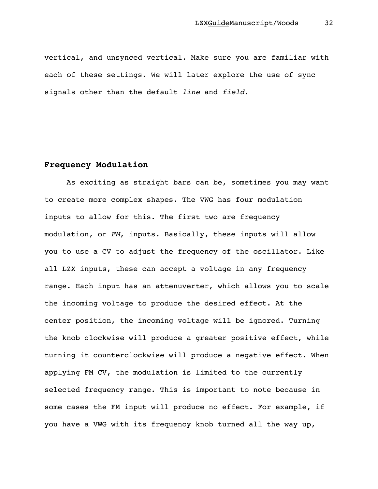vertical, and unsynced vertical. Make sure you are familiar with each of these settings. We will later explore the use of sync signals other than the default *line* and *field*.

## **Frequency Modulation**

As exciting as straight bars can be, sometimes you may want to create more complex shapes. The VWG has four modulation inputs to allow for this. The first two are frequency modulation, or *FM*, inputs. Basically, these inputs will allow you to use a CV to adjust the frequency of the oscillator. Like all LZX inputs, these can accept a voltage in any frequency range. Each input has an attenuverter, which allows you to scale the incoming voltage to produce the desired effect. At the center position, the incoming voltage will be ignored. Turning the knob clockwise will produce a greater positive effect, while turning it counterclockwise will produce a negative effect. When applying FM CV, the modulation is limited to the currently selected frequency range. This is important to note because in some cases the FM input will produce no effect. For example, if you have a VWG with its frequency knob turned all the way up,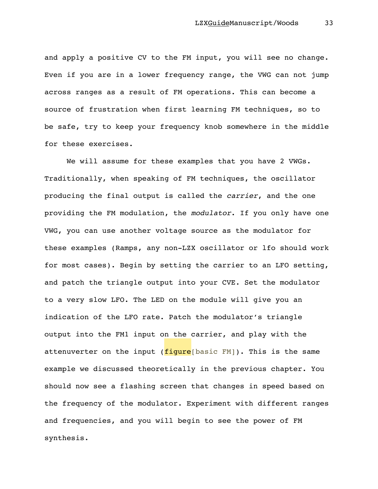and apply a positive CV to the FM input, you will see no change. Even if you are in a lower frequency range, the VWG can not jump across ranges as a result of FM operations. This can become a source of frustration when first learning FM techniques, so to be safe, try to keep your frequency knob somewhere in the middle for these exercises.

We will assume for these examples that you have 2 VWGs. Traditionally, when speaking of FM techniques, the oscillator producing the final output is called the *carrier*, and the one providing the FM modulation, the *modulator*. If you only have one VWG, you can use another voltage source as the modulator for these examples (Ramps, any non-LZX oscillator or lfo should work for most cases). Begin by setting the carrier to an LFO setting, and patch the triangle output into your CVE. Set the modulator to a very slow LFO. The LED on the module will give you an indication of the LFO rate. Patch the modulator's triangle output into the FM1 input on the carrier, and play with the attenuverter on the input ( $figure[basic FM]$ ). This is the same example we discussed theoretically in the previous chapter. You should now see a flashing screen that changes in speed based on the frequency of the modulator. Experiment with different ranges and frequencies, and you will begin to see the power of FM synthesis.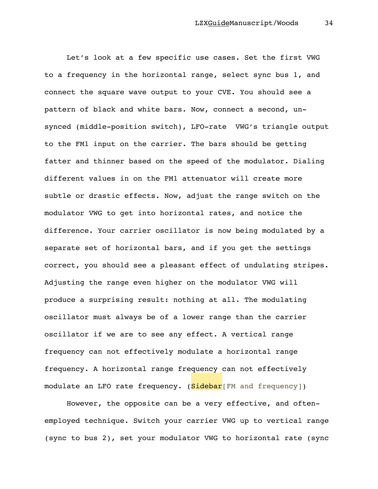Let's look at a few specific use cases. Set the first VWG to a frequency in the horizontal range, select sync bus 1, and connect the square wave output to your CVE. You should see a pattern of black and white bars. Now, connect a second, unsynced (middle-position switch), LFO-rate VWG's triangle output to the FM1 input on the carrier. The bars should be getting fatter and thinner based on the speed of the modulator. Dialing different values in on the FM1 attenuator will create more subtle or drastic effects. Now, adjust the range switch on the modulator VWG to get into horizontal rates, and notice the difference. Your carrier oscillator is now being modulated by a separate set of horizontal bars, and if you get the settings correct, you should see a pleasant effect of undulating stripes. Adjusting the range even higher on the modulator VWG will produce a surprising result: nothing at all. The modulating oscillator must always be of a lower range than the carrier oscillator if we are to see any effect. A vertical range frequency can not effectively modulate a horizontal range frequency. A horizontal range frequency can not effectively modulate an LFO rate frequency. (Sidebar [FM and frequency])

However, the opposite can be a very effective, and oftenemployed technique. Switch your carrier VWG up to vertical range (sync to bus 2), set your modulator VWG to horizontal rate (sync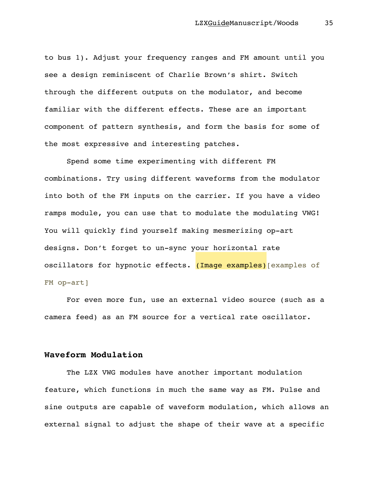to bus 1). Adjust your frequency ranges and FM amount until you see a design reminiscent of Charlie Brown's shirt. Switch through the different outputs on the modulator, and become familiar with the different effects. These are an important component of pattern synthesis, and form the basis for some of the most expressive and interesting patches.

Spend some time experimenting with different FM combinations. Try using different waveforms from the modulator into both of the FM inputs on the carrier. If you have a video ramps module, you can use that to modulate the modulating VWG! You will quickly find yourself making mesmerizing op-art designs. Don't forget to un-sync your horizontal rate oscillators for hypnotic effects. (Image examples) examples of FM op-art]

For even more fun, use an external video source (such as a camera feed) as an FM source for a vertical rate oscillator.

## **Waveform Modulation**

The LZX VWG modules have another important modulation feature, which functions in much the same way as FM. Pulse and sine outputs are capable of waveform modulation, which allows an external signal to adjust the shape of their wave at a specific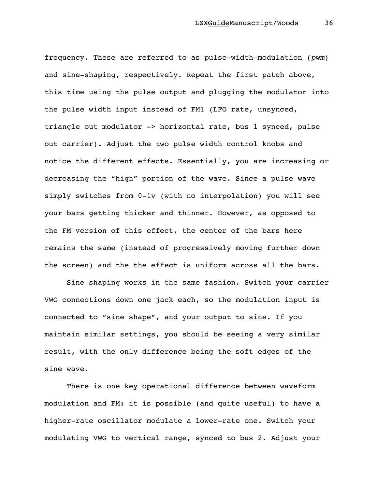frequency. These are referred to as pulse-width-modulation (*pwm*) and sine-shaping, respectively. Repeat the first patch above, this time using the pulse output and plugging the modulator into the pulse width input instead of FM1 (LFO rate, unsynced, triangle out modulator -> horizontal rate, bus 1 synced, pulse out carrier). Adjust the two pulse width control knobs and notice the different effects. Essentially, you are increasing or decreasing the "high" portion of the wave. Since a pulse wave simply switches from 0-1v (with no interpolation) you will see your bars getting thicker and thinner. However, as opposed to the FM version of this effect, the center of the bars here remains the same (instead of progressively moving further down the screen) and the the effect is uniform across all the bars.

Sine shaping works in the same fashion. Switch your carrier VWG connections down one jack each, so the modulation input is connected to "sine shape", and your output to sine. If you maintain similar settings, you should be seeing a very similar result, with the only difference being the soft edges of the sine wave.

There is one key operational difference between waveform modulation and FM: it is possible (and quite useful) to have a higher-rate oscillator modulate a lower-rate one. Switch your modulating VWG to vertical range, synced to bus 2. Adjust your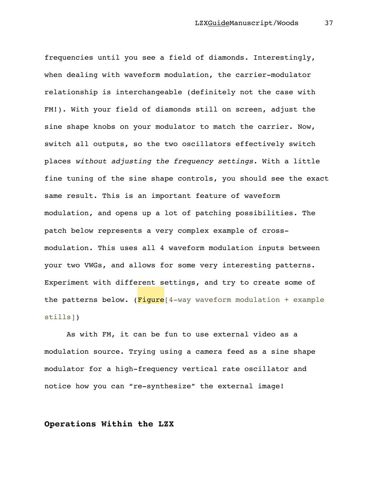frequencies until you see a field of diamonds. Interestingly, when dealing with waveform modulation, the carrier-modulator relationship is interchangeable (definitely not the case with FM!). With your field of diamonds still on screen, adjust the sine shape knobs on your modulator to match the carrier. Now, switch all outputs, so the two oscillators effectively switch places *without adjusting the frequency settings*. With a little fine tuning of the sine shape controls, you should see the exact same result. This is an important feature of waveform modulation, and opens up a lot of patching possibilities. The patch below represents a very complex example of crossmodulation. This uses all 4 waveform modulation inputs between your two VWGs, and allows for some very interesting patterns. Experiment with different settings, and try to create some of the patterns below.  $(Figure[4-way waveform modulation + example$ stills])

As with FM, it can be fun to use external video as a modulation source. Trying using a camera feed as a sine shape modulator for a high-frequency vertical rate oscillator and notice how you can "re-synthesize" the external image!

#### **Operations Within the LZX**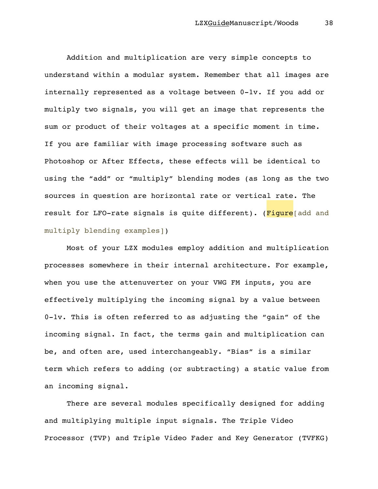Addition and multiplication are very simple concepts to understand within a modular system. Remember that all images are internally represented as a voltage between 0-1v. If you add or multiply two signals, you will get an image that represents the sum or product of their voltages at a specific moment in time. If you are familiar with image processing software such as Photoshop or After Effects, these effects will be identical to using the "add" or "multiply" blending modes (as long as the two sources in question are horizontal rate or vertical rate. The result for LFO-rate signals is quite different). (Figure add and multiply blending examples])

Most of your LZX modules employ addition and multiplication processes somewhere in their internal architecture. For example, when you use the attenuverter on your VWG FM inputs, you are effectively multiplying the incoming signal by a value between 0-1v. This is often referred to as adjusting the "gain" of the incoming signal. In fact, the terms gain and multiplication can be, and often are, used interchangeably. "Bias" is a similar term which refers to adding (or subtracting) a static value from an incoming signal.

There are several modules specifically designed for adding and multiplying multiple input signals. The Triple Video Processor (TVP) and Triple Video Fader and Key Generator (TVFKG)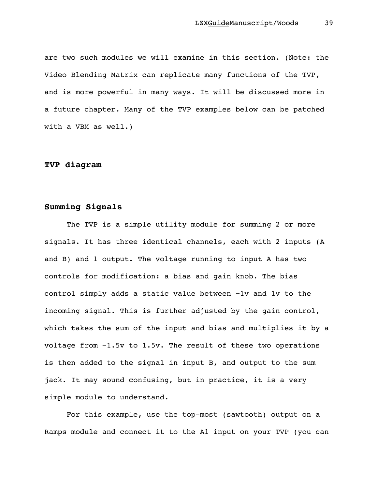are two such modules we will examine in this section. (Note: the Video Blending Matrix can replicate many functions of the TVP, and is more powerful in many ways. It will be discussed more in a future chapter. Many of the TVP examples below can be patched with a VBM as well.)

# **TVP diagram**

## **Summing Signals**

The TVP is a simple utility module for summing 2 or more signals. It has three identical channels, each with 2 inputs (A and B) and 1 output. The voltage running to input A has two controls for modification: a bias and gain knob. The bias control simply adds a static value between −1v and 1v to the incoming signal. This is further adjusted by the gain control, which takes the sum of the input and bias and multiplies it by a voltage from −1.5v to 1.5v. The result of these two operations is then added to the signal in input B, and output to the sum jack. It may sound confusing, but in practice, it is a very simple module to understand.

For this example, use the top-most (sawtooth) output on a Ramps module and connect it to the A1 input on your TVP (you can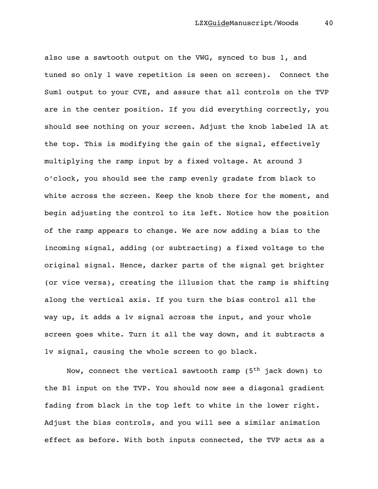also use a sawtooth output on the VWG, synced to bus 1, and tuned so only 1 wave repetition is seen on screen). Connect the Sum1 output to your CVE, and assure that all controls on the TVP are in the center position. If you did everything correctly, you should see nothing on your screen. Adjust the knob labeled 1A at the top. This is modifying the gain of the signal, effectively multiplying the ramp input by a fixed voltage. At around 3 o'clock, you should see the ramp evenly gradate from black to white across the screen. Keep the knob there for the moment, and begin adjusting the control to its left. Notice how the position of the ramp appears to change. We are now adding a bias to the incoming signal, adding (or subtracting) a fixed voltage to the original signal. Hence, darker parts of the signal get brighter (or vice versa), creating the illusion that the ramp is shifting along the vertical axis. If you turn the bias control all the way up, it adds a 1v signal across the input, and your whole screen goes white. Turn it all the way down, and it subtracts a 1v signal, causing the whole screen to go black.

Now, connect the vertical sawtooth ramp ( $5<sup>th</sup>$  jack down) to the B1 input on the TVP. You should now see a diagonal gradient fading from black in the top left to white in the lower right. Adjust the bias controls, and you will see a similar animation effect as before. With both inputs connected, the TVP acts as a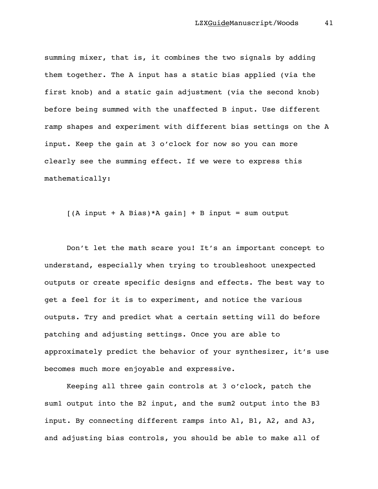summing mixer, that is, it combines the two signals by adding them together. The A input has a static bias applied (via the first knob) and a static gain adjustment (via the second knob) before being summed with the unaffected B input. Use different ramp shapes and experiment with different bias settings on the A input. Keep the gain at 3 o'clock for now so you can more clearly see the summing effect. If we were to express this mathematically:

 $[(A input + A Bias)*A gain] + B input = sum output$ 

Don't let the math scare you! It's an important concept to understand, especially when trying to troubleshoot unexpected outputs or create specific designs and effects. The best way to get a feel for it is to experiment, and notice the various outputs. Try and predict what a certain setting will do before patching and adjusting settings. Once you are able to approximately predict the behavior of your synthesizer, it's use becomes much more enjoyable and expressive.

Keeping all three gain controls at 3 o'clock, patch the sum1 output into the B2 input, and the sum2 output into the B3 input. By connecting different ramps into A1, B1, A2, and A3, and adjusting bias controls, you should be able to make all of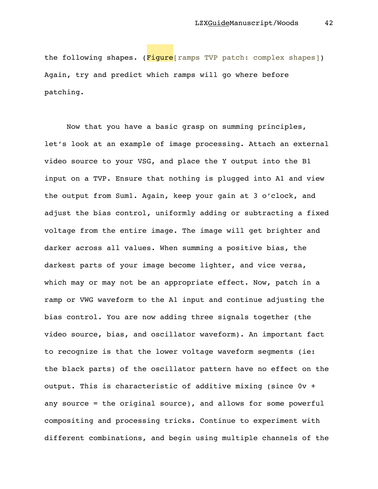the following shapes. (Figure[ramps TVP patch: complex shapes]) Again, try and predict which ramps will go where before patching.

Now that you have a basic grasp on summing principles, let's look at an example of image processing. Attach an external video source to your VSG, and place the Y output into the B1 input on a TVP. Ensure that nothing is plugged into A1 and view the output from Sum1. Again, keep your gain at 3 o'clock, and adjust the bias control, uniformly adding or subtracting a fixed voltage from the entire image. The image will get brighter and darker across all values. When summing a positive bias, the darkest parts of your image become lighter, and vice versa, which may or may not be an appropriate effect. Now, patch in a ramp or VWG waveform to the A1 input and continue adjusting the bias control. You are now adding three signals together (the video source, bias, and oscillator waveform). An important fact to recognize is that the lower voltage waveform segments (ie: the black parts) of the oscillator pattern have no effect on the output. This is characteristic of additive mixing (since 0v + any source = the original source), and allows for some powerful compositing and processing tricks. Continue to experiment with different combinations, and begin using multiple channels of the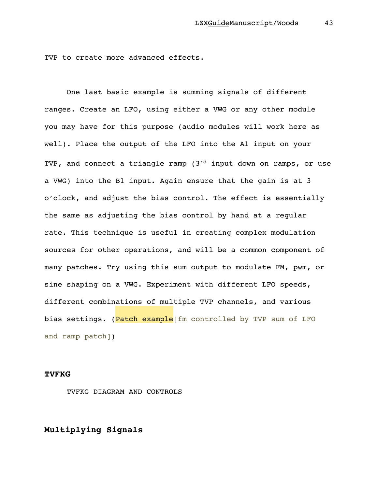TVP to create more advanced effects.

One last basic example is summing signals of different ranges. Create an LFO, using either a VWG or any other module you may have for this purpose (audio modules will work here as well). Place the output of the LFO into the A1 input on your TVP, and connect a triangle ramp ( $3<sup>rd</sup>$  input down on ramps, or use a VWG) into the B1 input. Again ensure that the gain is at 3 o'clock, and adjust the bias control. The effect is essentially the same as adjusting the bias control by hand at a regular rate. This technique is useful in creating complex modulation sources for other operations, and will be a common component of many patches. Try using this sum output to modulate FM, pwm, or sine shaping on a VWG. Experiment with different LFO speeds, different combinations of multiple TVP channels, and various bias settings. (Patch example[fm controlled by TVP sum of LFO and ramp patch])

#### **TVFKG**

TVFKG DIAGRAM AND CONTROLS

## **Multiplying Signals**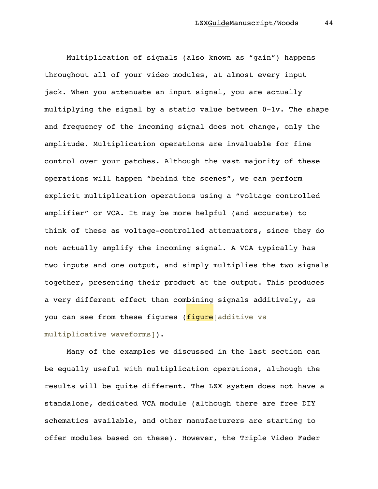Multiplication of signals (also known as "gain") happens throughout all of your video modules, at almost every input jack. When you attenuate an input signal, you are actually multiplying the signal by a static value between 0-1v. The shape and frequency of the incoming signal does not change, only the amplitude. Multiplication operations are invaluable for fine control over your patches. Although the vast majority of these operations will happen "behind the scenes", we can perform explicit multiplication operations using a "voltage controlled amplifier" or VCA. It may be more helpful (and accurate) to think of these as voltage-controlled attenuators, since they do not actually amplify the incoming signal. A VCA typically has two inputs and one output, and simply multiplies the two signals together, presenting their product at the output. This produces a very different effect than combining signals additively, as you can see from these figures (figure additive vs multiplicative waveforms]).

Many of the examples we discussed in the last section can be equally useful with multiplication operations, although the results will be quite different. The LZX system does not have a standalone, dedicated VCA module (although there are free DIY schematics available, and other manufacturers are starting to offer modules based on these). However, the Triple Video Fader